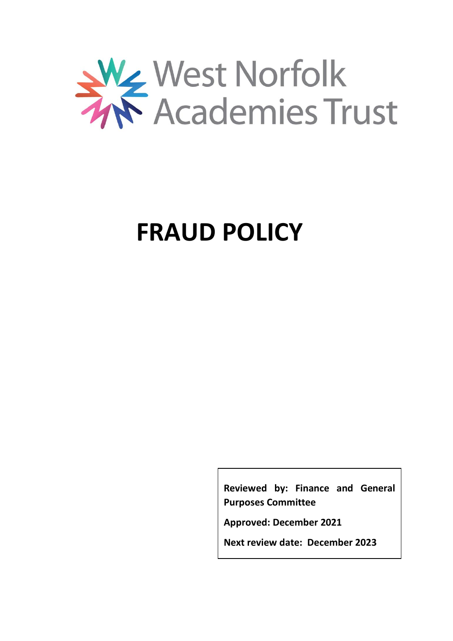

# **FRAUD POLICY**

**Reviewed by: Finance and General Purposes Committee**

**Approved: December 2021**

**Next review date: December 2023**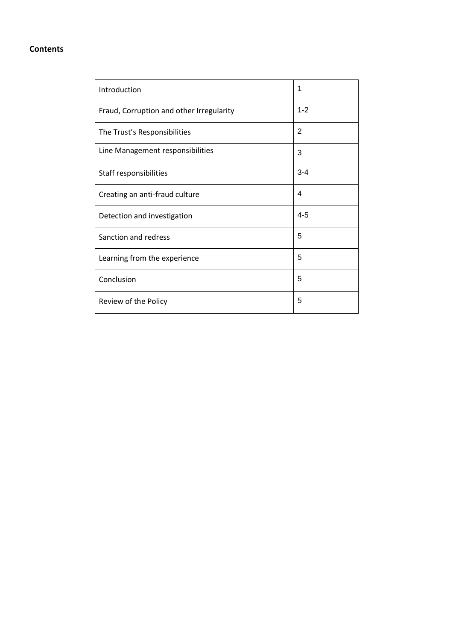# **Contents**

| Introduction                             | 1              |
|------------------------------------------|----------------|
| Fraud, Corruption and other Irregularity | $1 - 2$        |
| The Trust's Responsibilities             | $\overline{2}$ |
| Line Management responsibilities         | 3              |
| Staff responsibilities                   | $3 - 4$        |
| Creating an anti-fraud culture           | 4              |
| Detection and investigation              | $4 - 5$        |
| Sanction and redress                     | 5              |
| Learning from the experience             | 5              |
| Conclusion                               | 5              |
| Review of the Policy                     | 5              |
|                                          |                |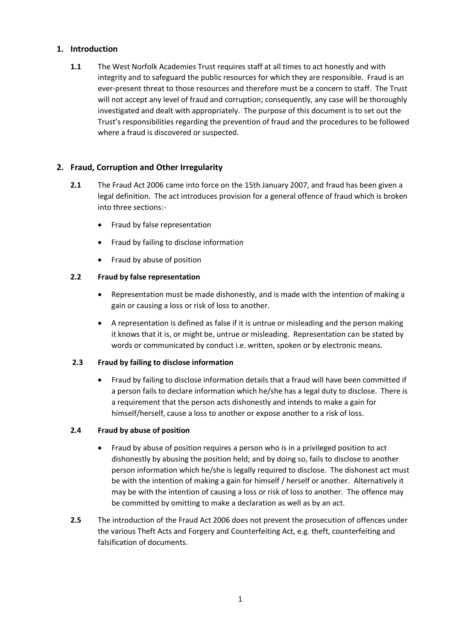## **1. Introduction**

**1.1** The West Norfolk Academies Trust requires staff at all times to act honestly and with integrity and to safeguard the public resources for which they are responsible. Fraud is an ever-present threat to those resources and therefore must be a concern to staff. The Trust will not accept any level of fraud and corruption; consequently, any case will be thoroughly investigated and dealt with appropriately. The purpose of this document is to set out the Trust's responsibilities regarding the prevention of fraud and the procedures to be followed where a fraud is discovered or suspected.

## **2. Fraud, Corruption and Other Irregularity**

- **2.1** The Fraud Act 2006 came into force on the 15th January 2007, and fraud has been given a legal definition. The act introduces provision for a general offence of fraud which is broken into three sections:-
	- Fraud by false representation
	- Fraud by failing to disclose information
	- Fraud by abuse of position

## **2.2 Fraud by false representation**

- Representation must be made dishonestly, and is made with the intention of making a gain or causing a loss or risk of loss to another.
- A representation is defined as false if it is untrue or misleading and the person making it knows that it is, or might be, untrue or misleading. Representation can be stated by words or communicated by conduct i.e. written, spoken or by electronic means.

## **2.3 Fraud by failing to disclose information**

 Fraud by failing to disclose information details that a fraud will have been committed if a person fails to declare information which he/she has a legal duty to disclose. There is a requirement that the person acts dishonestly and intends to make a gain for himself/herself, cause a loss to another or expose another to a risk of loss.

## **2.4 Fraud by abuse of position**

- Fraud by abuse of position requires a person who is in a privileged position to act dishonestly by abusing the position held; and by doing so, fails to disclose to another person information which he/she is legally required to disclose. The dishonest act must be with the intention of making a gain for himself / herself or another. Alternatively it may be with the intention of causing a loss or risk of loss to another. The offence may be committed by omitting to make a declaration as well as by an act.
- **2.5** The introduction of the Fraud Act 2006 does not prevent the prosecution of offences under the various Theft Acts and Forgery and Counterfeiting Act, e.g. theft, counterfeiting and falsification of documents.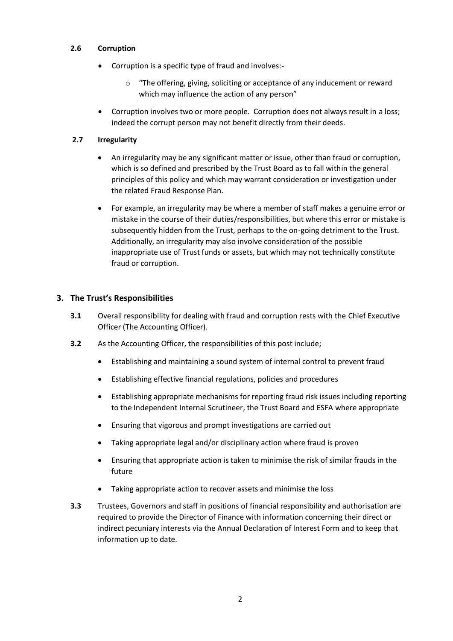#### **2.6 Corruption**

- Corruption is a specific type of fraud and involves:
	- o "The offering, giving, soliciting or acceptance of any inducement or reward which may influence the action of any person"
- Corruption involves two or more people. Corruption does not always result in a loss; indeed the corrupt person may not benefit directly from their deeds.

#### **2.7 Irregularity**

- An irregularity may be any significant matter or issue, other than fraud or corruption, which is so defined and prescribed by the Trust Board as to fall within the general principles of this policy and which may warrant consideration or investigation under the related Fraud Response Plan.
- For example, an irregularity may be where a member of staff makes a genuine error or mistake in the course of their duties/responsibilities, but where this error or mistake is subsequently hidden from the Trust, perhaps to the on-going detriment to the Trust. Additionally, an irregularity may also involve consideration of the possible inappropriate use of Trust funds or assets, but which may not technically constitute fraud or corruption.

#### **3. The Trust's Responsibilities**

- **3.1** Overall responsibility for dealing with fraud and corruption rests with the Chief Executive Officer (The Accounting Officer).
- **3.2** As the Accounting Officer, the responsibilities of this post include;
	- Establishing and maintaining a sound system of internal control to prevent fraud
	- Establishing effective financial regulations, policies and procedures
	- Establishing appropriate mechanisms for reporting fraud risk issues including reporting to the Independent Internal Scrutineer, the Trust Board and ESFA where appropriate
	- Ensuring that vigorous and prompt investigations are carried out
	- Taking appropriate legal and/or disciplinary action where fraud is proven
	- Ensuring that appropriate action is taken to minimise the risk of similar frauds in the future
	- Taking appropriate action to recover assets and minimise the loss
- **3.3** Trustees, Governors and staff in positions of financial responsibility and authorisation are required to provide the Director of Finance with information concerning their direct or indirect pecuniary interests via the Annual Declaration of Interest Form and to keep that information up to date.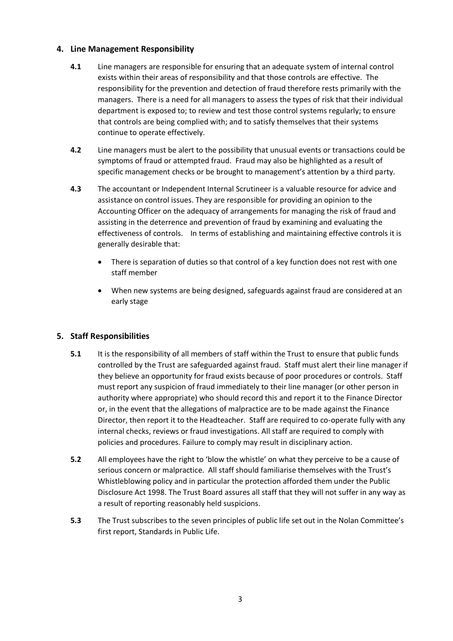## **4. Line Management Responsibility**

- **4.1** Line managers are responsible for ensuring that an adequate system of internal control exists within their areas of responsibility and that those controls are effective. The responsibility for the prevention and detection of fraud therefore rests primarily with the managers. There is a need for all managers to assess the types of risk that their individual department is exposed to; to review and test those control systems regularly; to ensure that controls are being complied with; and to satisfy themselves that their systems continue to operate effectively.
- **4.2** Line managers must be alert to the possibility that unusual events or transactions could be symptoms of fraud or attempted fraud. Fraud may also be highlighted as a result of specific management checks or be brought to management's attention by a third party.
- **4.3** The accountant or Independent Internal Scrutineer is a valuable resource for advice and assistance on control issues. They are responsible for providing an opinion to the Accounting Officer on the adequacy of arrangements for managing the risk of fraud and assisting in the deterrence and prevention of fraud by examining and evaluating the effectiveness of controls. In terms of establishing and maintaining effective controls it is generally desirable that:
	- There is separation of duties so that control of a key function does not rest with one staff member
	- When new systems are being designed, safeguards against fraud are considered at an early stage

# **5. Staff Responsibilities**

- **5.1** It is the responsibility of all members of staff within the Trust to ensure that public funds controlled by the Trust are safeguarded against fraud. Staff must alert their line manager if they believe an opportunity for fraud exists because of poor procedures or controls. Staff must report any suspicion of fraud immediately to their line manager (or other person in authority where appropriate) who should record this and report it to the Finance Director or, in the event that the allegations of malpractice are to be made against the Finance Director, then report it to the Headteacher. Staff are required to co-operate fully with any internal checks, reviews or fraud investigations. All staff are required to comply with policies and procedures. Failure to comply may result in disciplinary action.
- **5.2** All employees have the right to 'blow the whistle' on what they perceive to be a cause of serious concern or malpractice. All staff should familiarise themselves with the Trust's Whistleblowing policy and in particular the protection afforded them under the Public Disclosure Act 1998. The Trust Board assures all staff that they will not suffer in any way as a result of reporting reasonably held suspicions.
- **5.3** The Trust subscribes to the seven principles of public life set out in the Nolan Committee's first report, Standards in Public Life.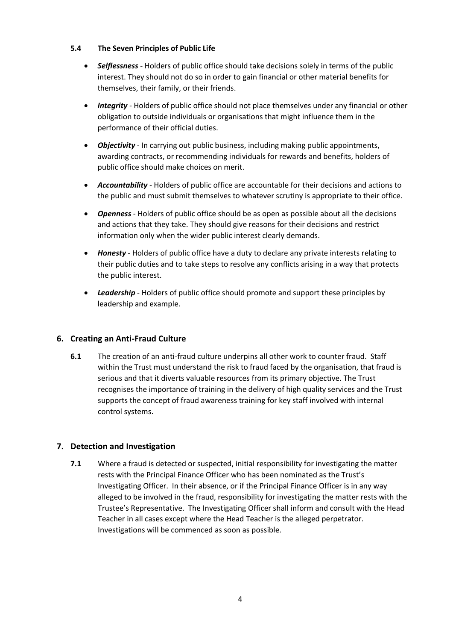## **5.4 The Seven Principles of Public Life**

- *Selflessness* Holders of public office should take decisions solely in terms of the public interest. They should not do so in order to gain financial or other material benefits for themselves, their family, or their friends.
- *Integrity* Holders of public office should not place themselves under any financial or other obligation to outside individuals or organisations that might influence them in the performance of their official duties.
- *Objectivity* In carrying out public business, including making public appointments, awarding contracts, or recommending individuals for rewards and benefits, holders of public office should make choices on merit.
- *Accountability* Holders of public office are accountable for their decisions and actions to the public and must submit themselves to whatever scrutiny is appropriate to their office.
- *Openness* Holders of public office should be as open as possible about all the decisions and actions that they take. They should give reasons for their decisions and restrict information only when the wider public interest clearly demands.
- *Honesty*  Holders of public office have a duty to declare any private interests relating to their public duties and to take steps to resolve any conflicts arising in a way that protects the public interest.
- *Leadership* Holders of public office should promote and support these principles by leadership and example.

# **6. Creating an Anti-Fraud Culture**

**6.1** The creation of an anti-fraud culture underpins all other work to counter fraud. Staff within the Trust must understand the risk to fraud faced by the organisation, that fraud is serious and that it diverts valuable resources from its primary objective. The Trust recognises the importance of training in the delivery of high quality services and the Trust supports the concept of fraud awareness training for key staff involved with internal control systems.

# **7. Detection and Investigation**

**7.1** Where a fraud is detected or suspected, initial responsibility for investigating the matter rests with the Principal Finance Officer who has been nominated as the Trust's Investigating Officer. In their absence, or if the Principal Finance Officer is in any way alleged to be involved in the fraud, responsibility for investigating the matter rests with the Trustee's Representative. The Investigating Officer shall inform and consult with the Head Teacher in all cases except where the Head Teacher is the alleged perpetrator. Investigations will be commenced as soon as possible.